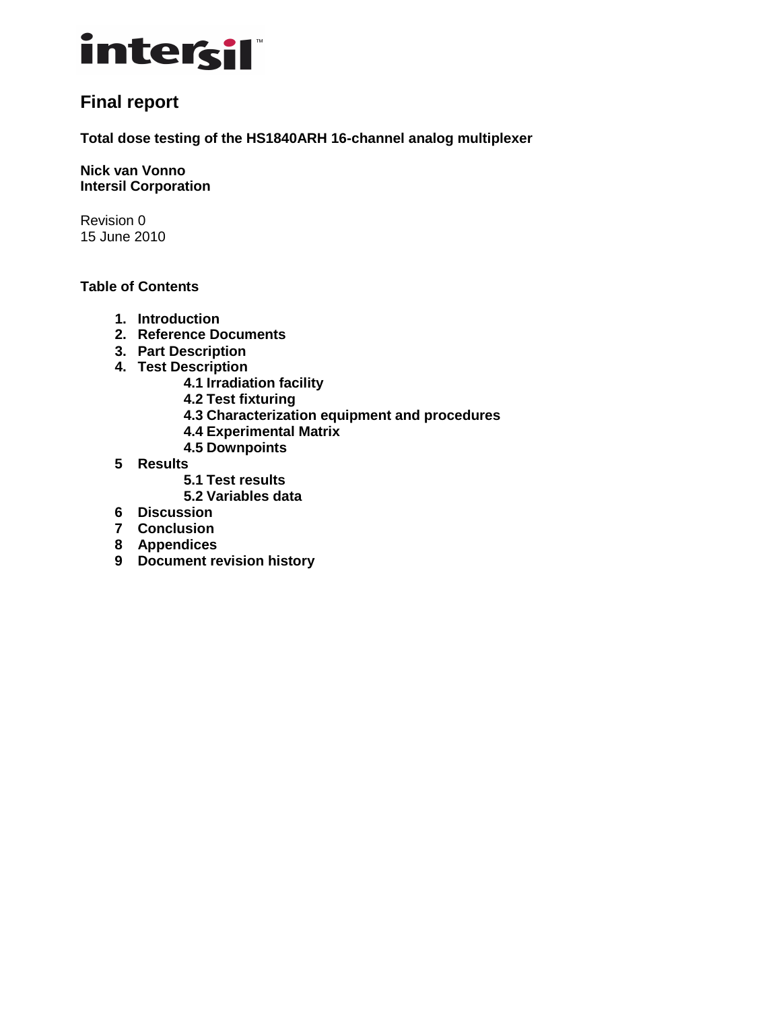

## **Final report**

**Total dose testing of the HS1840ARH 16-channel analog multiplexer** 

**Nick van Vonno Intersil Corporation** 

Revision 0 15 June 2010

## **Table of Contents**

- **1. Introduction**
- **2. Reference Documents**
- **3. Part Description**
- **4. Test Description**
	- **4.1 Irradiation facility**
	- **4.2 Test fixturing**
	- **4.3 Characterization equipment and procedures**
	- **4.4 Experimental Matrix**
	- **4.5 Downpoints**
- **5 Results** 
	- **5.1 Test results**
	- **5.2 Variables data**
- **6 Discussion**
- **7 Conclusion**
- **8 Appendices**
- **9 Document revision history**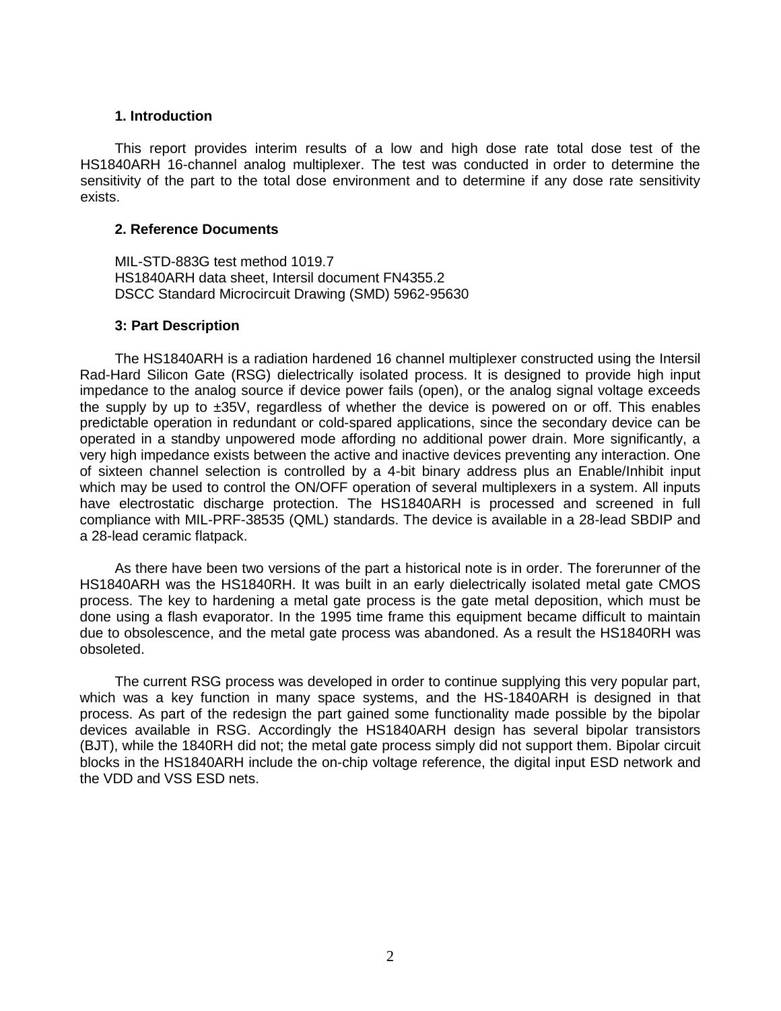#### **1. Introduction**

This report provides interim results of a low and high dose rate total dose test of the HS1840ARH 16-channel analog multiplexer. The test was conducted in order to determine the sensitivity of the part to the total dose environment and to determine if any dose rate sensitivity exists.

#### **2. Reference Documents**

MIL-STD-883G test method 1019.7 HS1840ARH data sheet, Intersil document FN4355.2 DSCC Standard Microcircuit Drawing (SMD) 5962-95630

#### **3: Part Description**

The HS1840ARH is a radiation hardened 16 channel multiplexer constructed using the Intersil Rad-Hard Silicon Gate (RSG) dielectrically isolated process. It is designed to provide high input impedance to the analog source if device power fails (open), or the analog signal voltage exceeds the supply by up to  $\pm 35V$ , regardless of whether the device is powered on or off. This enables predictable operation in redundant or cold-spared applications, since the secondary device can be operated in a standby unpowered mode affording no additional power drain. More significantly, a very high impedance exists between the active and inactive devices preventing any interaction. One of sixteen channel selection is controlled by a 4-bit binary address plus an Enable/Inhibit input which may be used to control the ON/OFF operation of several multiplexers in a system. All inputs have electrostatic discharge protection. The HS1840ARH is processed and screened in full compliance with MIL-PRF-38535 (QML) standards. The device is available in a 28-lead SBDIP and a 28-lead ceramic flatpack.

As there have been two versions of the part a historical note is in order. The forerunner of the HS1840ARH was the HS1840RH. It was built in an early dielectrically isolated metal gate CMOS process. The key to hardening a metal gate process is the gate metal deposition, which must be done using a flash evaporator. In the 1995 time frame this equipment became difficult to maintain due to obsolescence, and the metal gate process was abandoned. As a result the HS1840RH was obsoleted.

The current RSG process was developed in order to continue supplying this very popular part, which was a key function in many space systems, and the HS-1840ARH is designed in that process. As part of the redesign the part gained some functionality made possible by the bipolar devices available in RSG. Accordingly the HS1840ARH design has several bipolar transistors (BJT), while the 1840RH did not; the metal gate process simply did not support them. Bipolar circuit blocks in the HS1840ARH include the on-chip voltage reference, the digital input ESD network and the VDD and VSS ESD nets.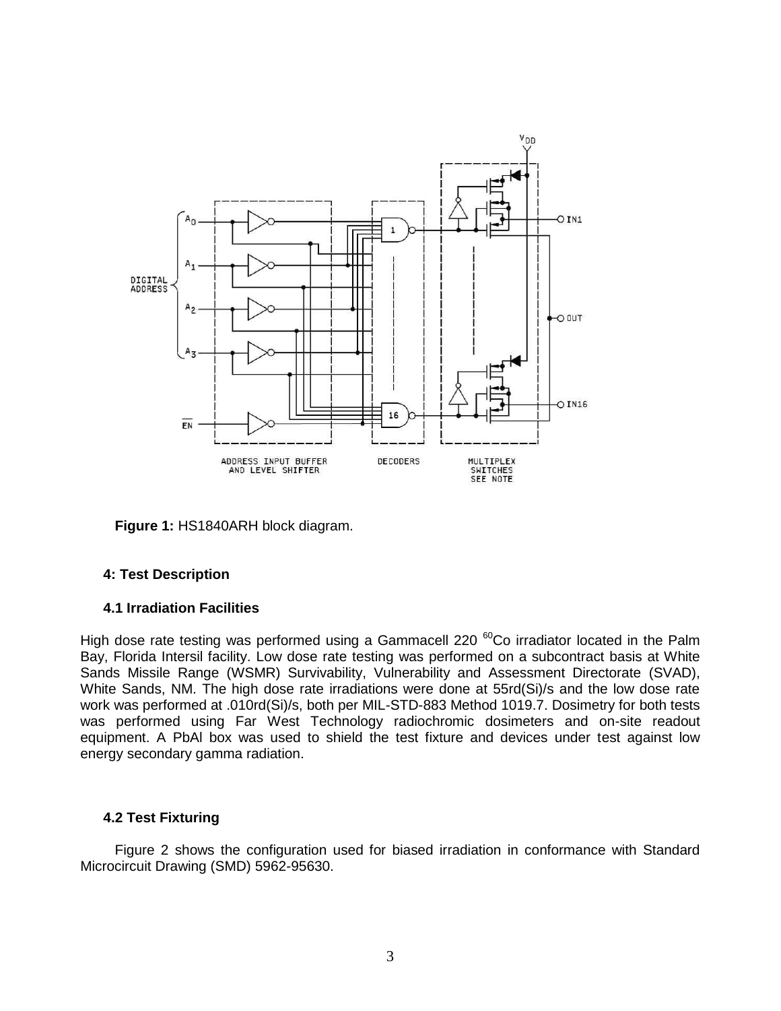

**Figure 1:** HS1840ARH block diagram.

## **4: Test Description**

## **4.1 Irradiation Facilities**

High dose rate testing was performed using a Gammacell 220<sup>60</sup>Co irradiator located in the Palm Bay, Florida Intersil facility. Low dose rate testing was performed on a subcontract basis at White Sands Missile Range (WSMR) Survivability, Vulnerability and Assessment Directorate (SVAD), White Sands, NM. The high dose rate irradiations were done at 55rd(Si)/s and the low dose rate work was performed at .010rd(Si)/s, both per MIL-STD-883 Method 1019.7. Dosimetry for both tests was performed using Far West Technology radiochromic dosimeters and on-site readout equipment. A PbAl box was used to shield the test fixture and devices under test against low energy secondary gamma radiation.

## **4.2 Test Fixturing**

Figure 2 shows the configuration used for biased irradiation in conformance with Standard Microcircuit Drawing (SMD) 5962-95630.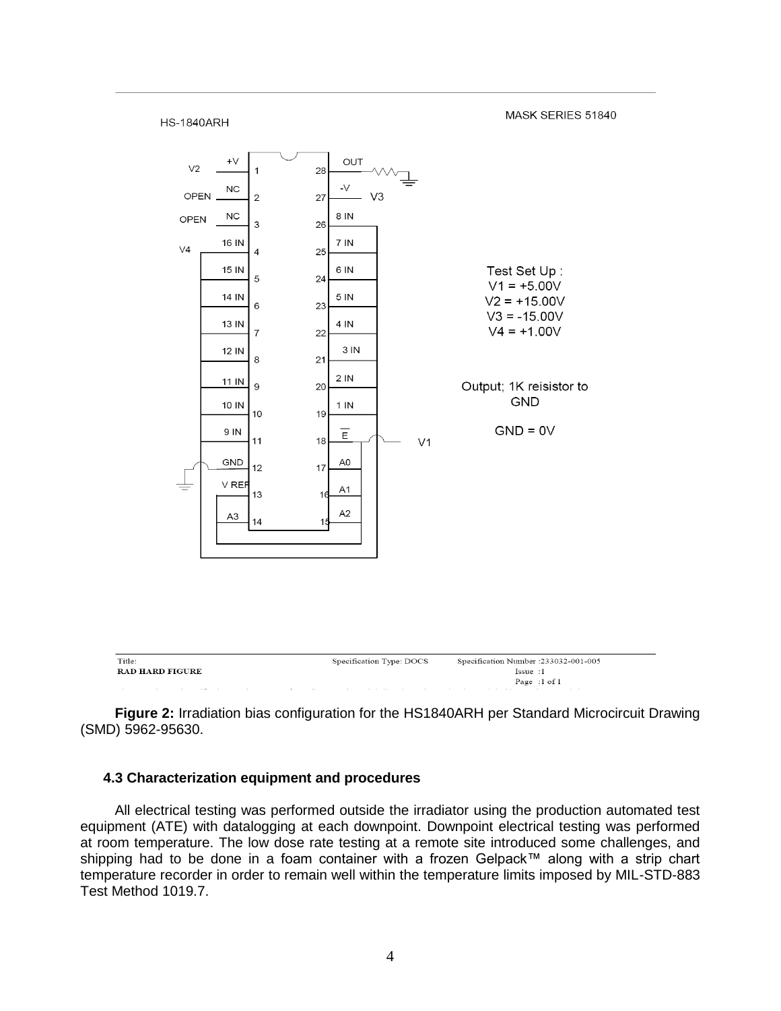

**Figure 2:** Irradiation bias configuration for the HS1840ARH per Standard Microcircuit Drawing (SMD) 5962-95630.

## **4.3 Characterization equipment and procedures**

All electrical testing was performed outside the irradiator using the production automated test equipment (ATE) with datalogging at each downpoint. Downpoint electrical testing was performed at room temperature. The low dose rate testing at a remote site introduced some challenges, and shipping had to be done in a foam container with a frozen Gelpack™ along with a strip chart temperature recorder in order to remain well within the temperature limits imposed by MIL-STD-883 Test Method 1019.7.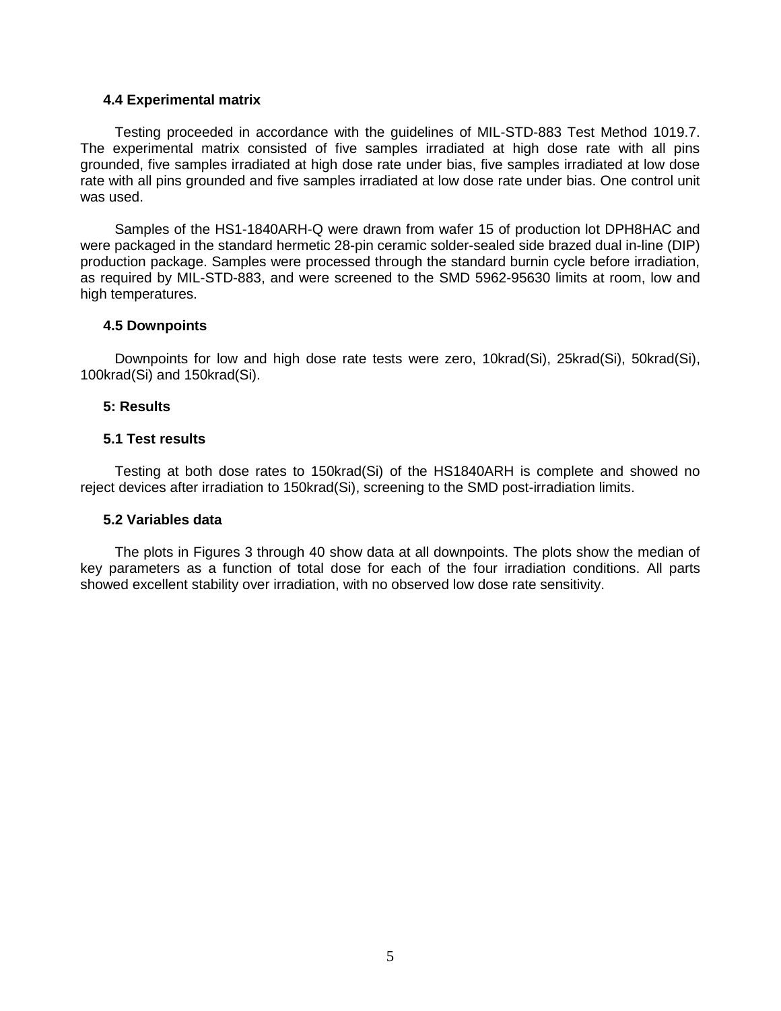## **4.4 Experimental matrix**

Testing proceeded in accordance with the guidelines of MIL-STD-883 Test Method 1019.7. The experimental matrix consisted of five samples irradiated at high dose rate with all pins grounded, five samples irradiated at high dose rate under bias, five samples irradiated at low dose rate with all pins grounded and five samples irradiated at low dose rate under bias. One control unit was used.

Samples of the HS1-1840ARH-Q were drawn from wafer 15 of production lot DPH8HAC and were packaged in the standard hermetic 28-pin ceramic solder-sealed side brazed dual in-line (DIP) production package. Samples were processed through the standard burnin cycle before irradiation, as required by MIL-STD-883, and were screened to the SMD 5962-95630 limits at room, low and high temperatures.

#### **4.5 Downpoints**

Downpoints for low and high dose rate tests were zero, 10krad(Si), 25krad(Si), 50krad(Si), 100krad(Si) and 150krad(Si).

#### **5: Results**

#### **5.1 Test results**

Testing at both dose rates to 150krad(Si) of the HS1840ARH is complete and showed no reject devices after irradiation to 150krad(Si), screening to the SMD post-irradiation limits.

## **5.2 Variables data**

The plots in Figures 3 through 40 show data at all downpoints. The plots show the median of key parameters as a function of total dose for each of the four irradiation conditions. All parts showed excellent stability over irradiation, with no observed low dose rate sensitivity.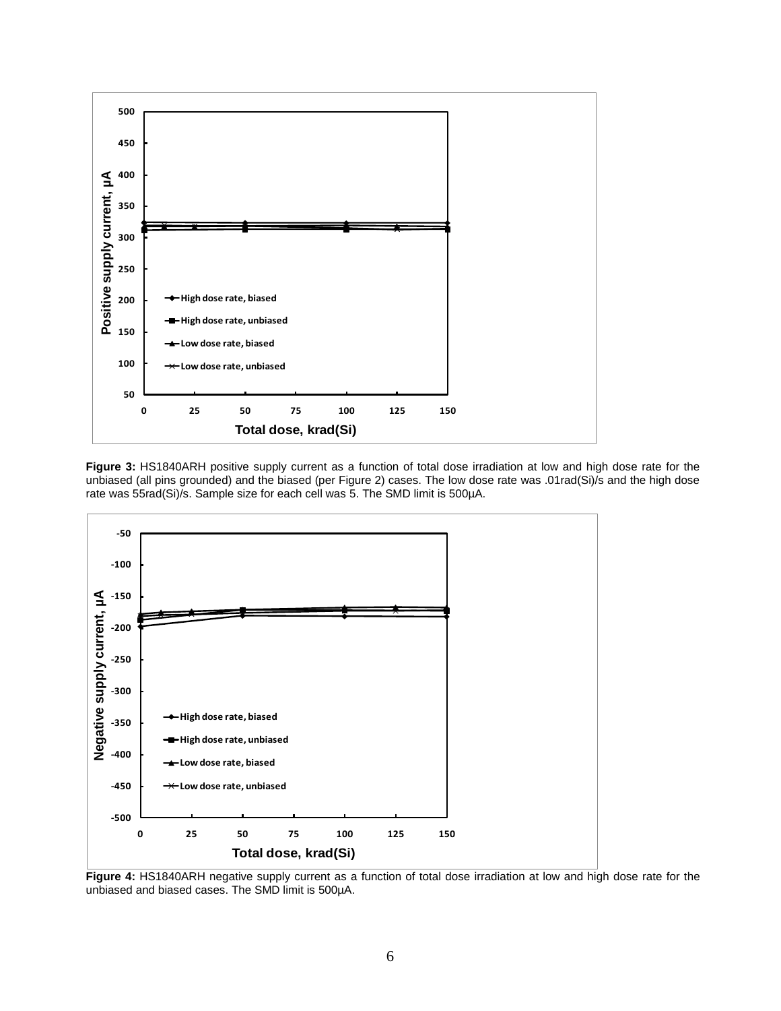

**Figure 3:** HS1840ARH positive supply current as a function of total dose irradiation at low and high dose rate for the unbiased (all pins grounded) and the biased (per Figure 2) cases. The low dose rate was .01rad(Si)/s and the high dose rate was 55rad(Si)/s. Sample size for each cell was 5. The SMD limit is 500µA.



**Figure 4:** HS1840ARH negative supply current as a function of total dose irradiation at low and high dose rate for the unbiased and biased cases. The SMD limit is 500µA.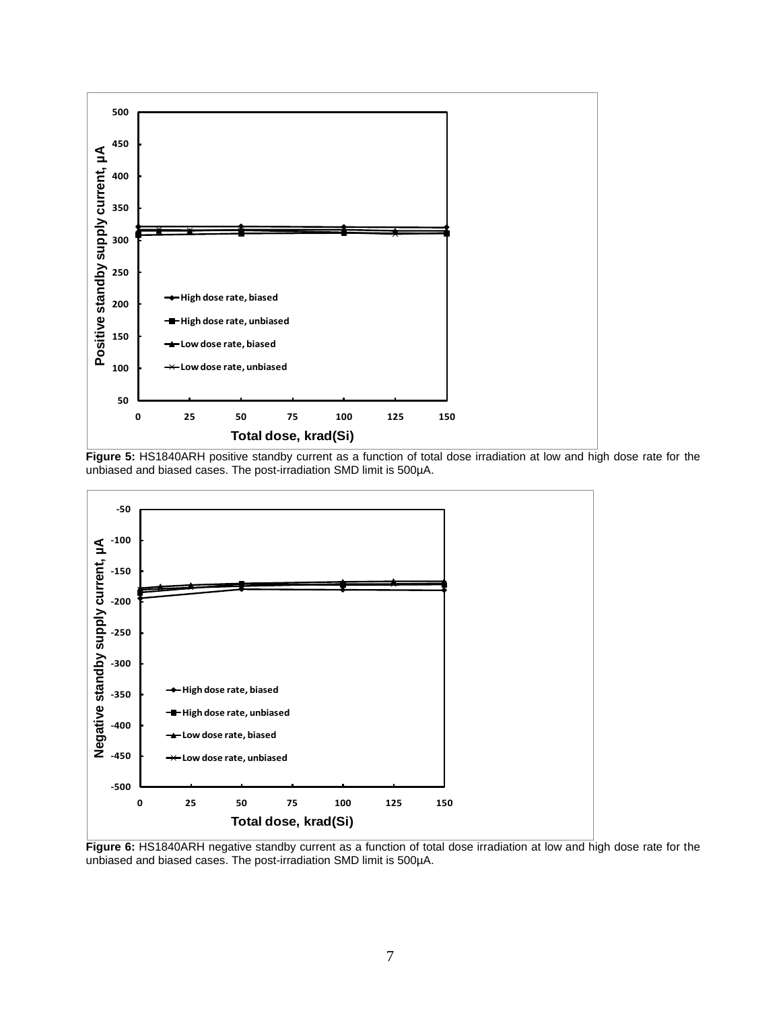

**Figure 5:** HS1840ARH positive standby current as a function of total dose irradiation at low and high dose rate for the unbiased and biased cases. The post-irradiation SMD limit is 500µA.



**Figure 6:** HS1840ARH negative standby current as a function of total dose irradiation at low and high dose rate for the unbiased and biased cases. The post-irradiation SMD limit is 500µA.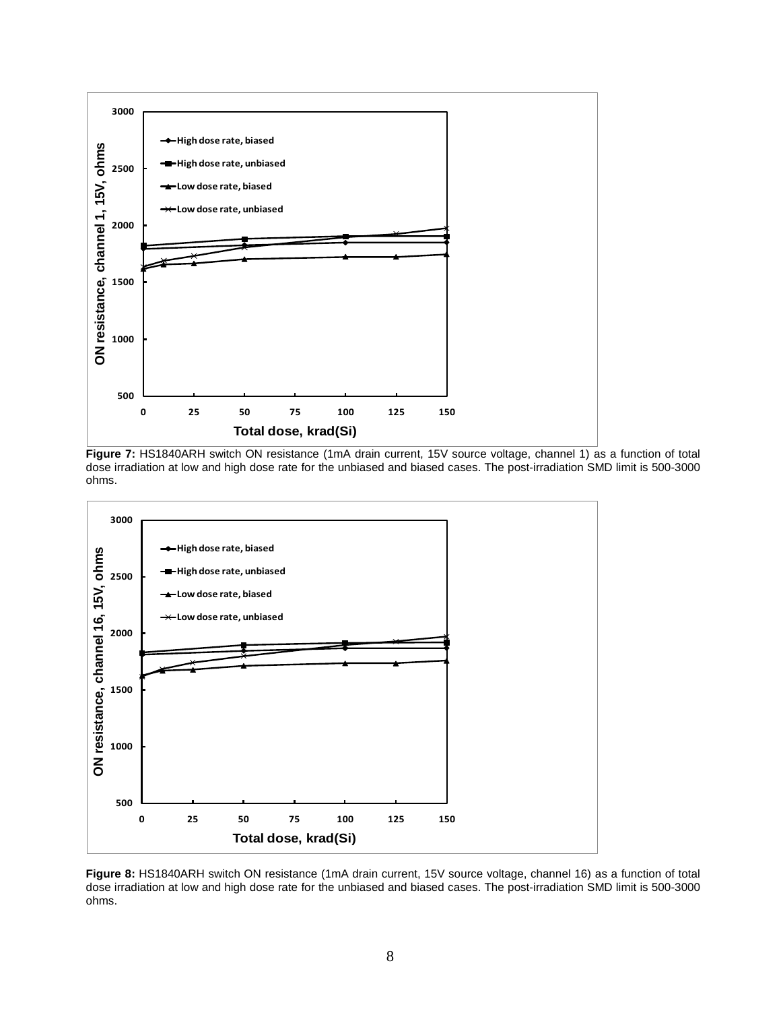

**Figure 7:** HS1840ARH switch ON resistance (1mA drain current, 15V source voltage, channel 1) as a function of total dose irradiation at low and high dose rate for the unbiased and biased cases. The post-irradiation SMD limit is 500-3000 ohms.



**Figure 8:** HS1840ARH switch ON resistance (1mA drain current, 15V source voltage, channel 16) as a function of total dose irradiation at low and high dose rate for the unbiased and biased cases. The post-irradiation SMD limit is 500-3000 ohms.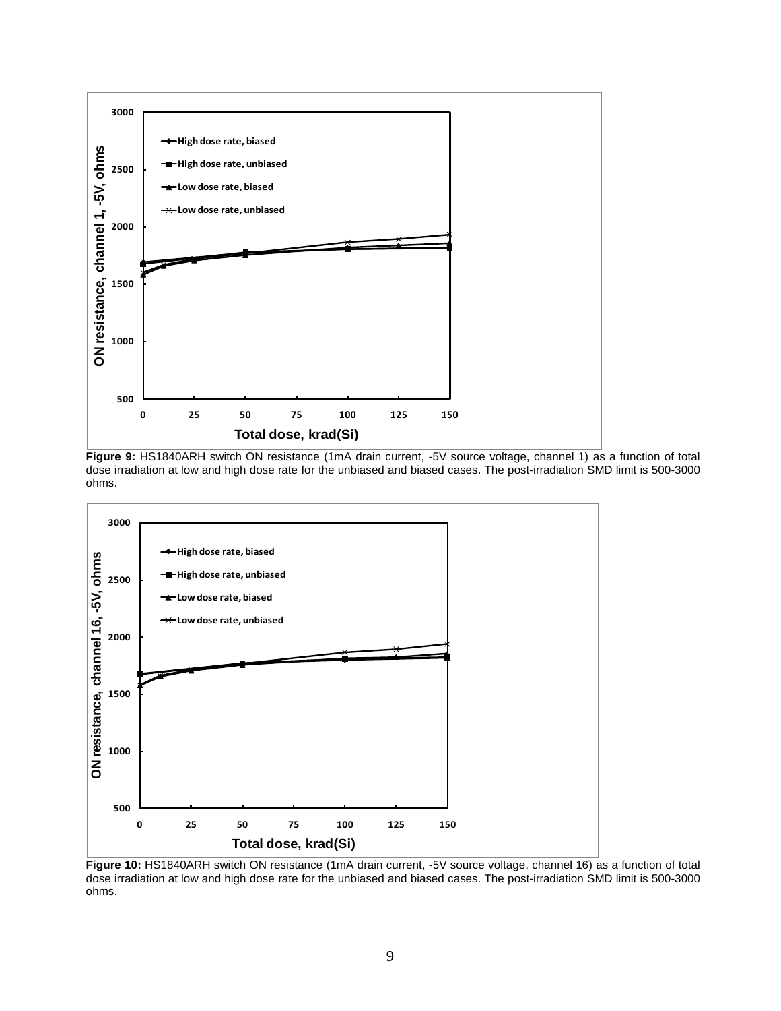

**Figure 9:** HS1840ARH switch ON resistance (1mA drain current, -5V source voltage, channel 1) as a function of total dose irradiation at low and high dose rate for the unbiased and biased cases. The post-irradiation SMD limit is 500-3000 ohms.



**Figure 10:** HS1840ARH switch ON resistance (1mA drain current, -5V source voltage, channel 16) as a function of total dose irradiation at low and high dose rate for the unbiased and biased cases. The post-irradiation SMD limit is 500-3000 ohms.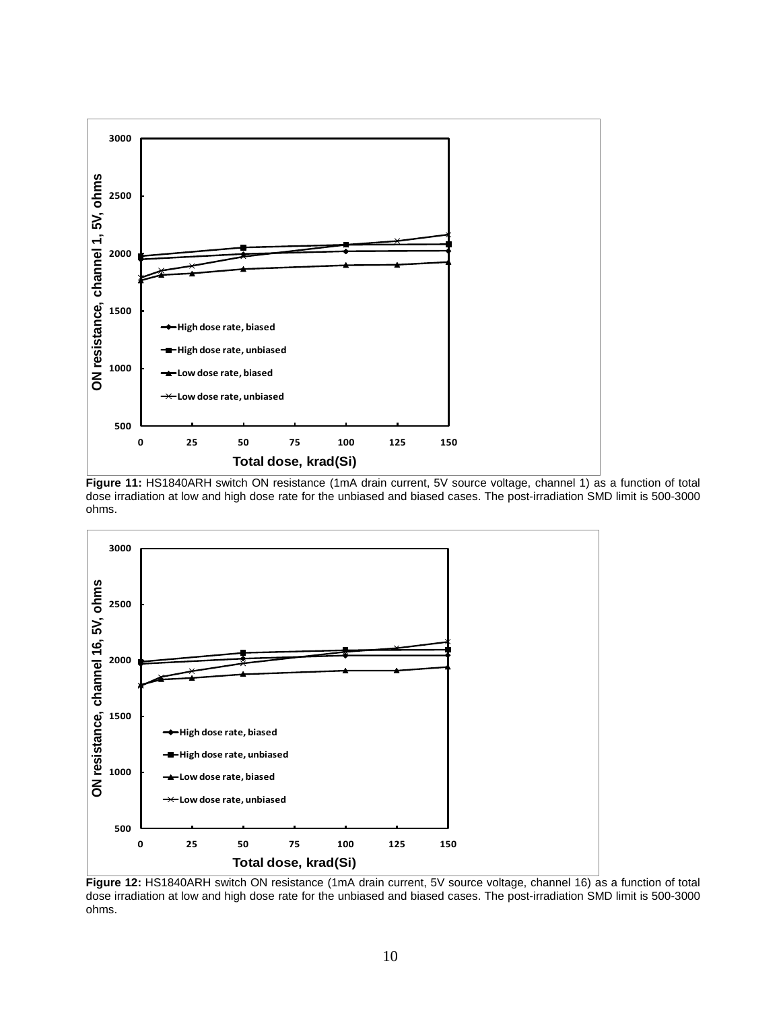

**Figure 11:** HS1840ARH switch ON resistance (1mA drain current, 5V source voltage, channel 1) as a function of total dose irradiation at low and high dose rate for the unbiased and biased cases. The post-irradiation SMD limit is 500-3000 ohms.



**Figure 12:** HS1840ARH switch ON resistance (1mA drain current, 5V source voltage, channel 16) as a function of total dose irradiation at low and high dose rate for the unbiased and biased cases. The post-irradiation SMD limit is 500-3000 ohms.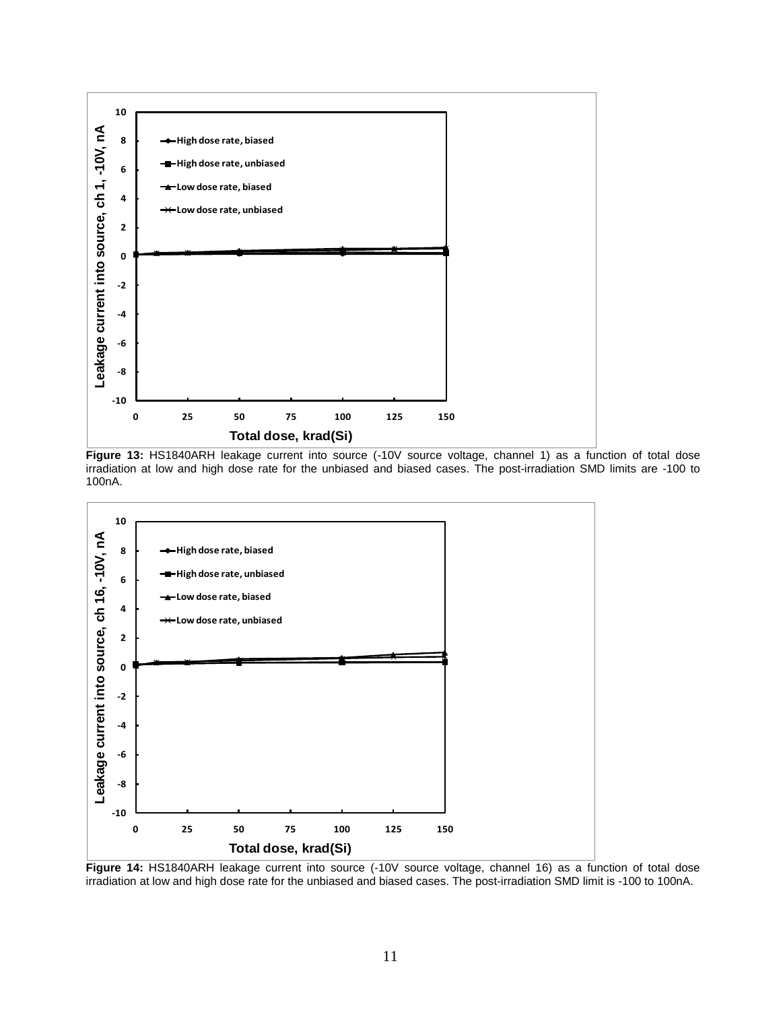

Figure 13: HS1840ARH leakage current into source (-10V source voltage, channel 1) as a function of total dose irradiation at low and high dose rate for the unbiased and biased cases. The post-irradiation SMD limits are -100 to 100nA.



Figure 14: HS1840ARH leakage current into source (-10V source voltage, channel 16) as a function of total dose irradiation at low and high dose rate for the unbiased and biased cases. The post-irradiation SMD limit is -100 to 100nA.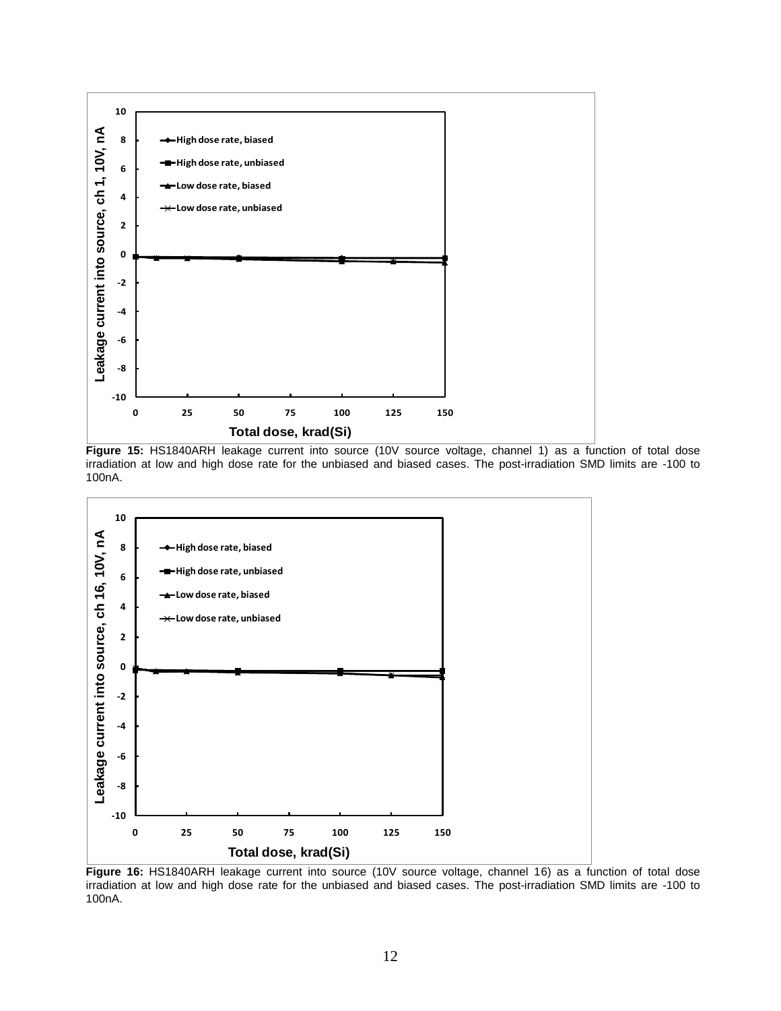

**Figure 15:** HS1840ARH leakage current into source (10V source voltage, channel 1) as a function of total dose irradiation at low and high dose rate for the unbiased and biased cases. The post-irradiation SMD limits are -100 to 100nA.



**Figure 16:** HS1840ARH leakage current into source (10V source voltage, channel 16) as a function of total dose irradiation at low and high dose rate for the unbiased and biased cases. The post-irradiation SMD limits are -100 to 100nA.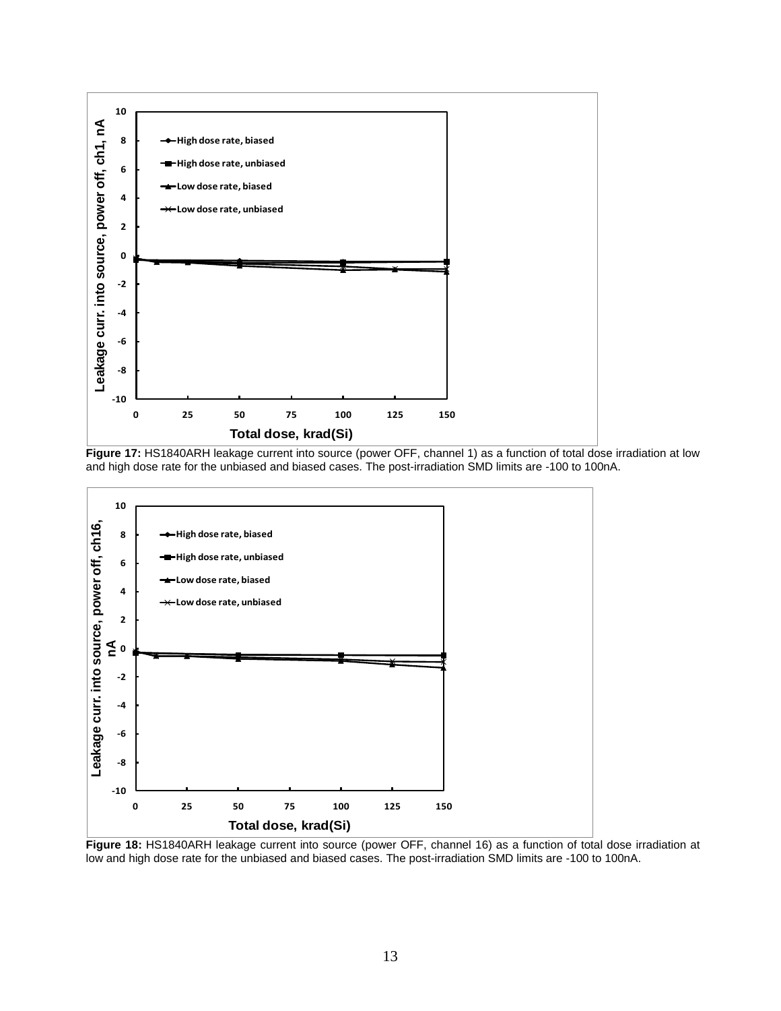

Figure 17: HS1840ARH leakage current into source (power OFF, channel 1) as a function of total dose irradiation at low and high dose rate for the unbiased and biased cases. The post-irradiation SMD limits are -100 to 100nA.



**Figure 18:** HS1840ARH leakage current into source (power OFF, channel 16) as a function of total dose irradiation at low and high dose rate for the unbiased and biased cases. The post-irradiation SMD limits are -100 to 100nA.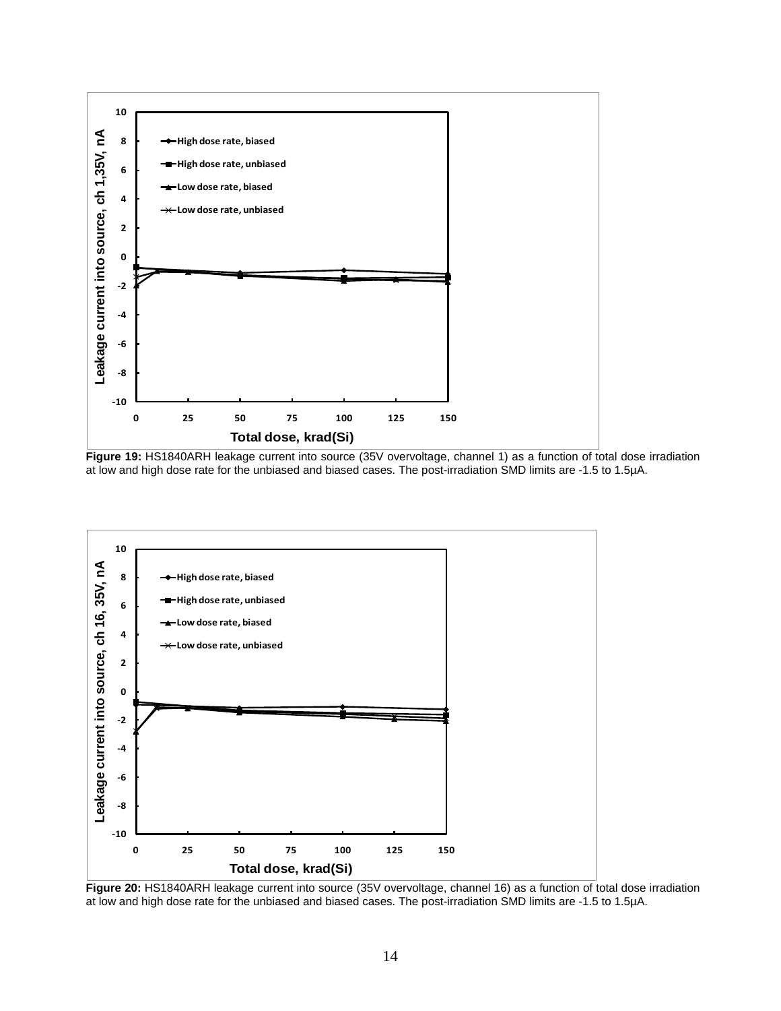

**Figure 19:** HS1840ARH leakage current into source (35V overvoltage, channel 1) as a function of total dose irradiation at low and high dose rate for the unbiased and biased cases. The post-irradiation SMD limits are -1.5 to 1.5µA.



**Figure 20:** HS1840ARH leakage current into source (35V overvoltage, channel 16) as a function of total dose irradiation at low and high dose rate for the unbiased and biased cases. The post-irradiation SMD limits are -1.5 to 1.5µA.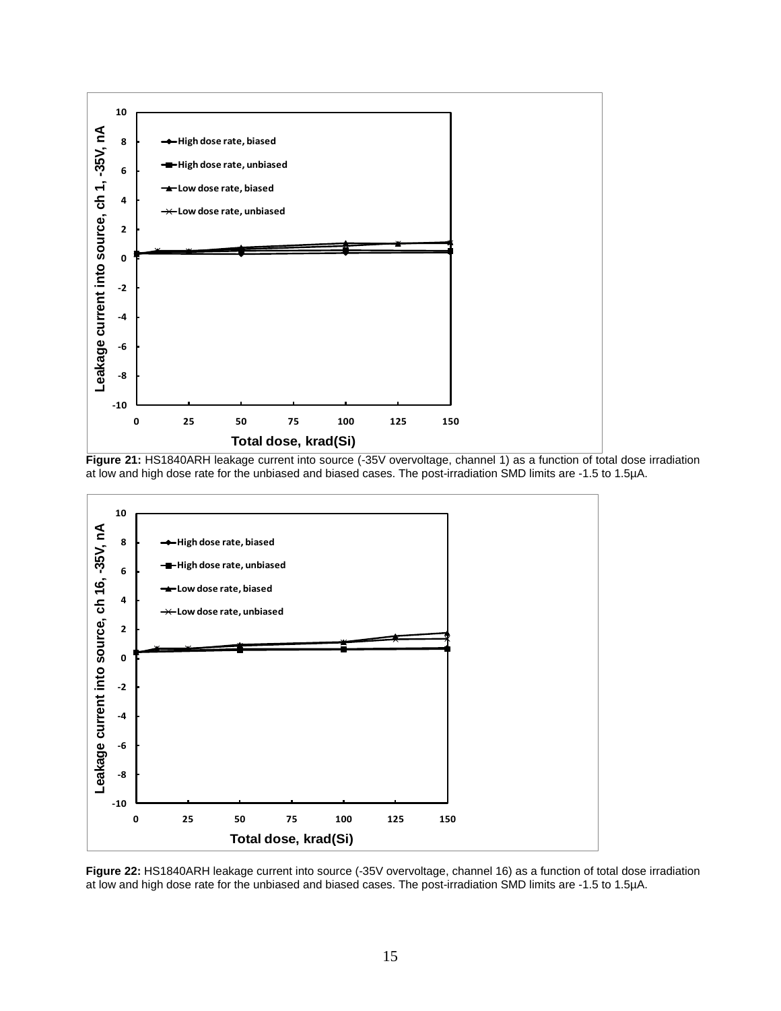





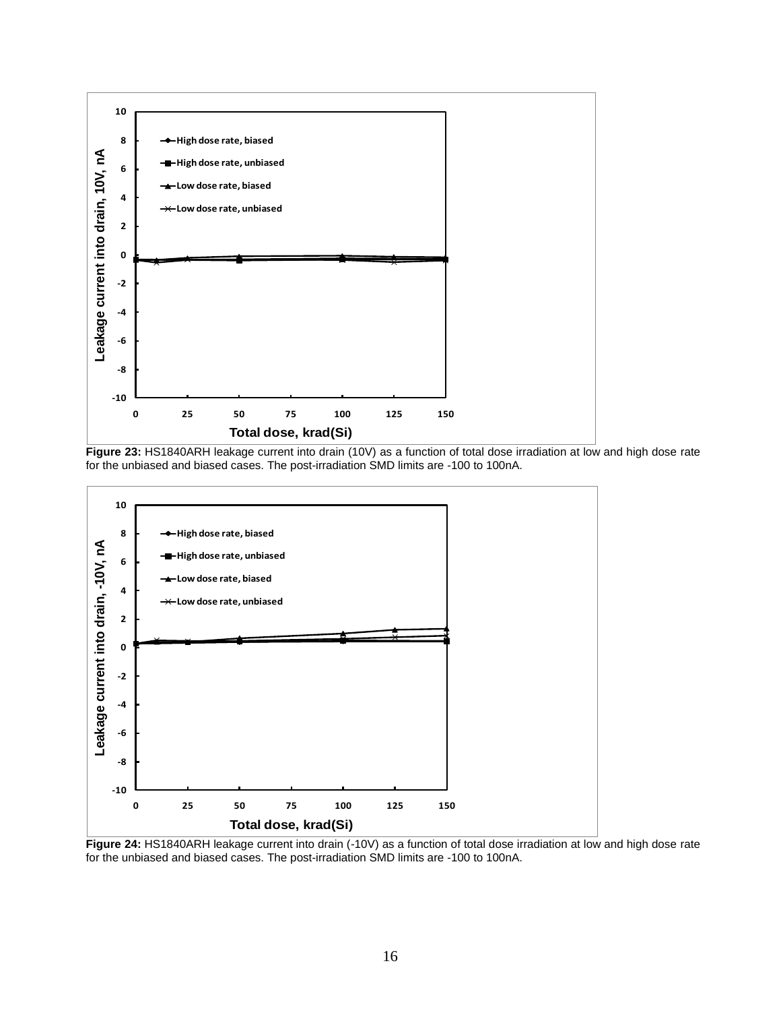

**Figure 23:** HS1840ARH leakage current into drain (10V) as a function of total dose irradiation at low and high dose rate for the unbiased and biased cases. The post-irradiation SMD limits are -100 to 100nA.



**Figure 24:** HS1840ARH leakage current into drain (-10V) as a function of total dose irradiation at low and high dose rate for the unbiased and biased cases. The post-irradiation SMD limits are -100 to 100nA.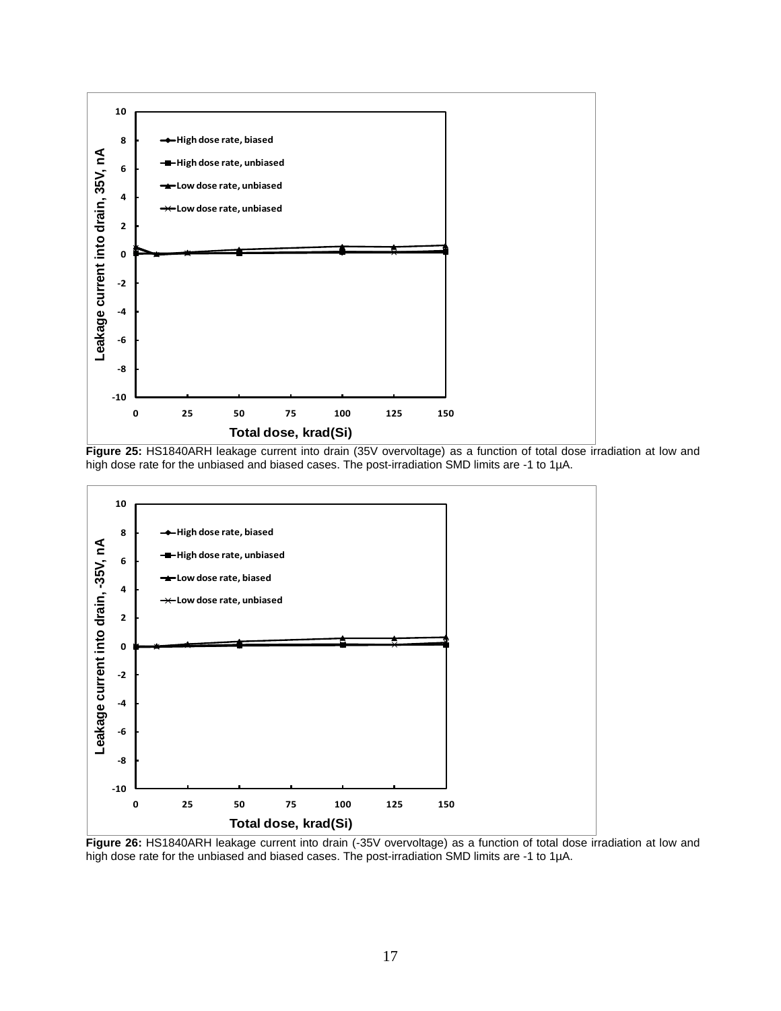

**Figure 25:** HS1840ARH leakage current into drain (35V overvoltage) as a function of total dose irradiation at low and high dose rate for the unbiased and biased cases. The post-irradiation SMD limits are -1 to 1µA.



**Figure 26:** HS1840ARH leakage current into drain (-35V overvoltage) as a function of total dose irradiation at low and high dose rate for the unbiased and biased cases. The post-irradiation SMD limits are -1 to 1µA.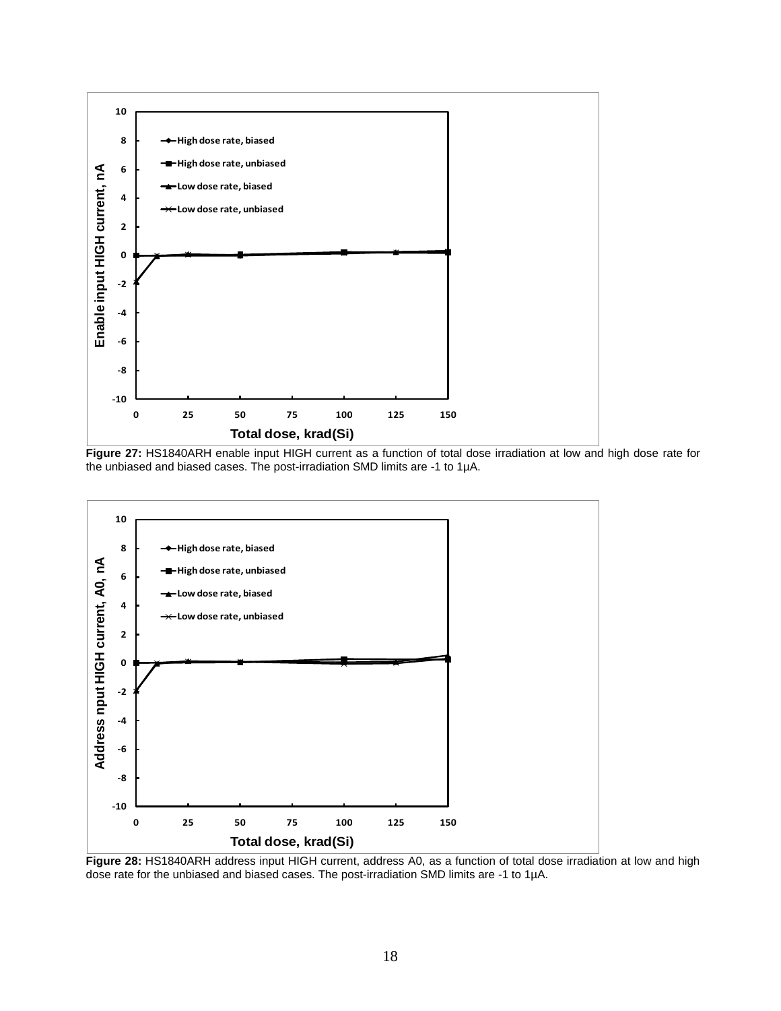

**Figure 27:** HS1840ARH enable input HIGH current as a function of total dose irradiation at low and high dose rate for the unbiased and biased cases. The post-irradiation SMD limits are -1 to 1µA.



**Figure 28:** HS1840ARH address input HIGH current, address A0, as a function of total dose irradiation at low and high dose rate for the unbiased and biased cases. The post-irradiation SMD limits are -1 to 1µA.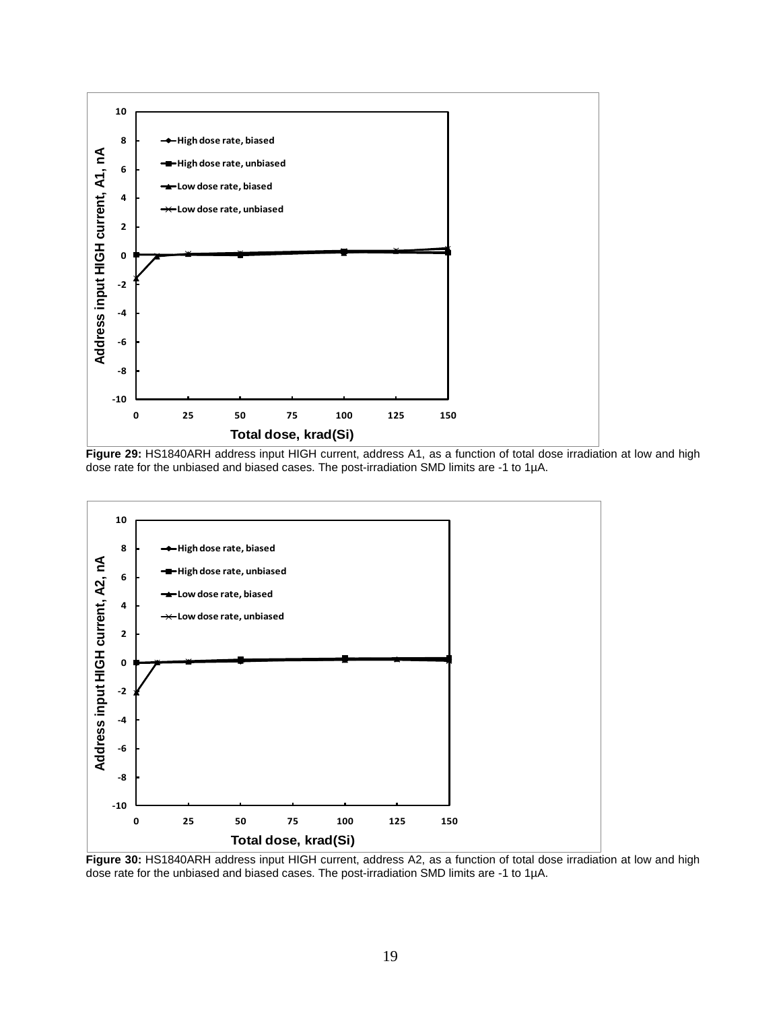

**Figure 29:** HS1840ARH address input HIGH current, address A1, as a function of total dose irradiation at low and high dose rate for the unbiased and biased cases. The post-irradiation SMD limits are -1 to 1µA.



**Figure 30:** HS1840ARH address input HIGH current, address A2, as a function of total dose irradiation at low and high dose rate for the unbiased and biased cases. The post-irradiation SMD limits are -1 to 1µA.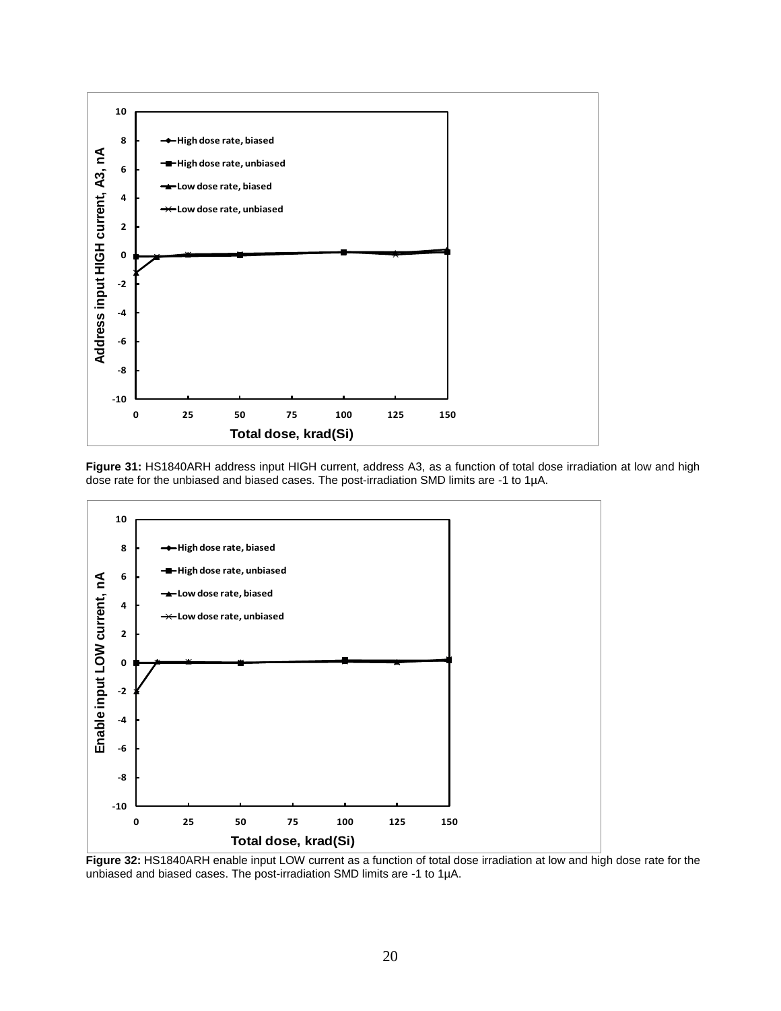





**Figure 32:** HS1840ARH enable input LOW current as a function of total dose irradiation at low and high dose rate for the unbiased and biased cases. The post-irradiation SMD limits are -1 to 1µA.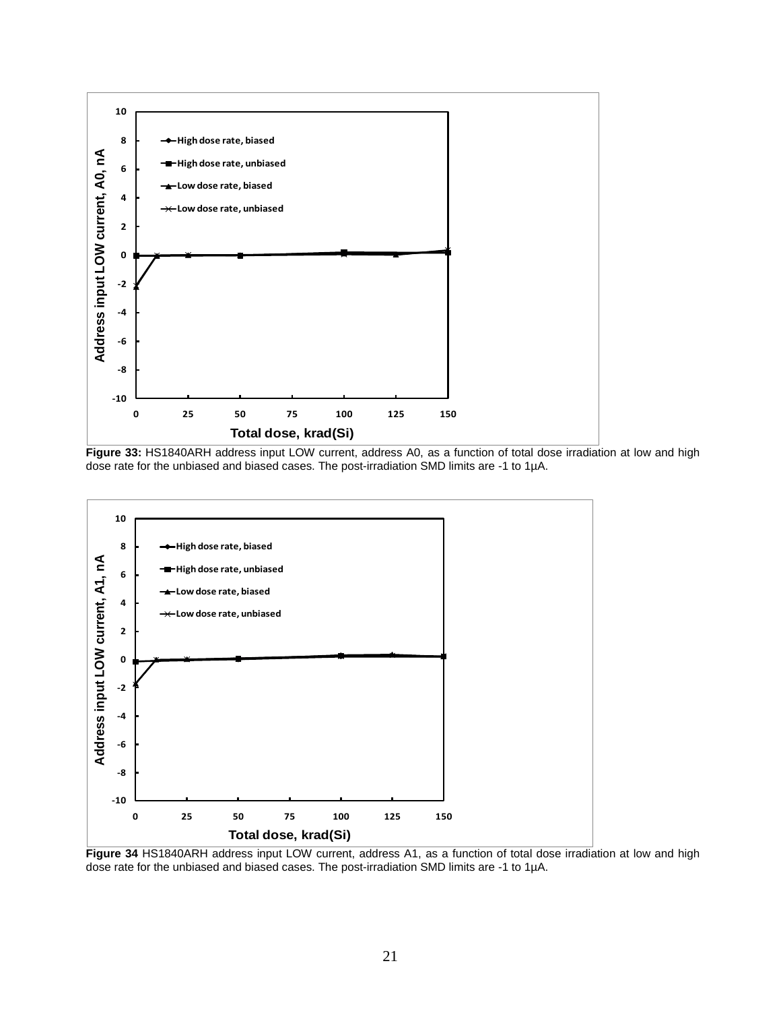

**Figure 33:** HS1840ARH address input LOW current, address A0, as a function of total dose irradiation at low and high dose rate for the unbiased and biased cases. The post-irradiation SMD limits are -1 to 1µA.



**Figure 34** HS1840ARH address input LOW current, address A1, as a function of total dose irradiation at low and high dose rate for the unbiased and biased cases. The post-irradiation SMD limits are -1 to 1µA.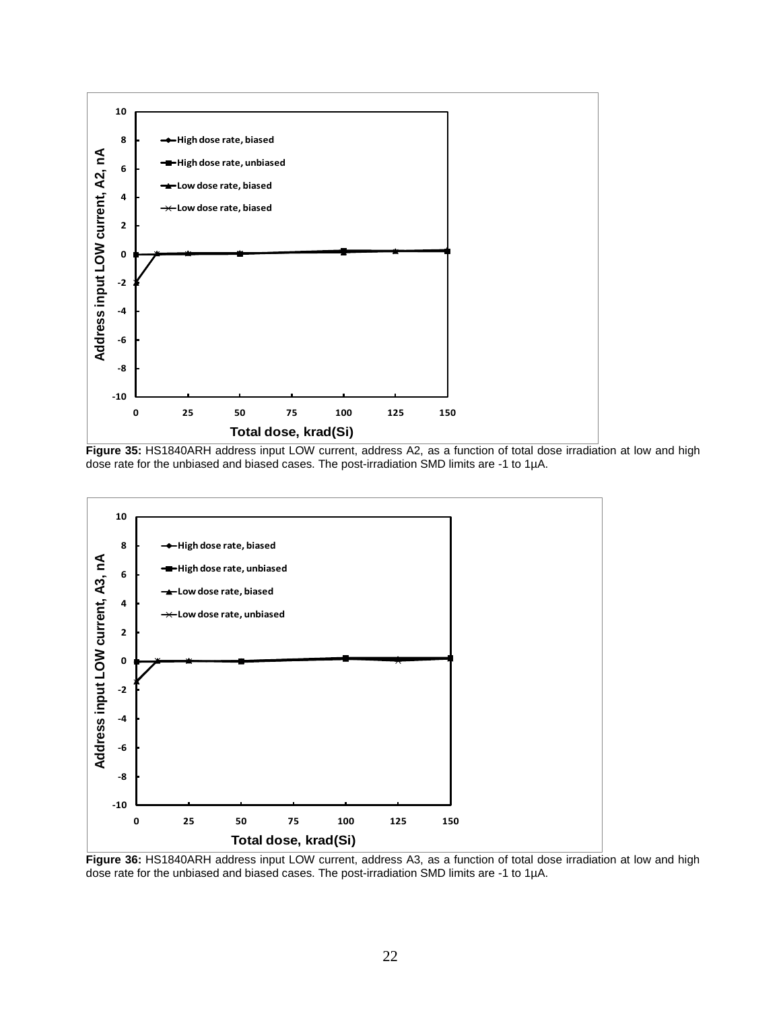

**Figure 35:** HS1840ARH address input LOW current, address A2, as a function of total dose irradiation at low and high dose rate for the unbiased and biased cases. The post-irradiation SMD limits are -1 to 1µA.



**Figure 36:** HS1840ARH address input LOW current, address A3, as a function of total dose irradiation at low and high dose rate for the unbiased and biased cases. The post-irradiation SMD limits are -1 to 1µA.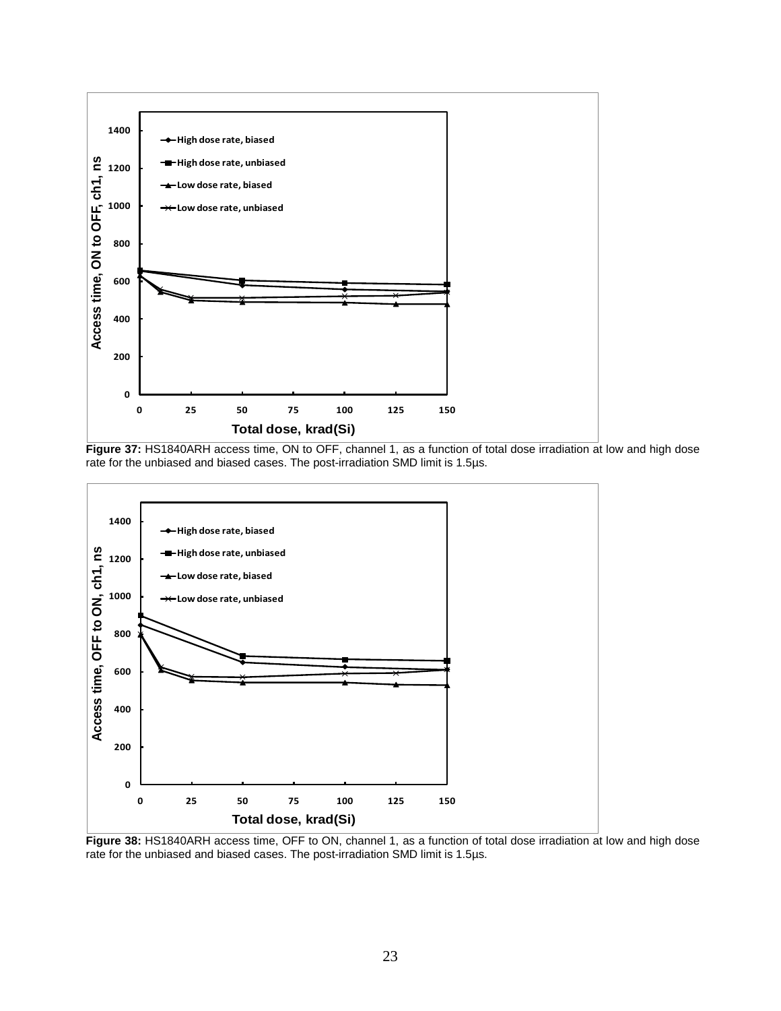

**Figure 37:** HS1840ARH access time, ON to OFF, channel 1, as a function of total dose irradiation at low and high dose rate for the unbiased and biased cases. The post-irradiation SMD limit is 1.5µs.



**Figure 38:** HS1840ARH access time, OFF to ON, channel 1, as a function of total dose irradiation at low and high dose rate for the unbiased and biased cases. The post-irradiation SMD limit is 1.5µs.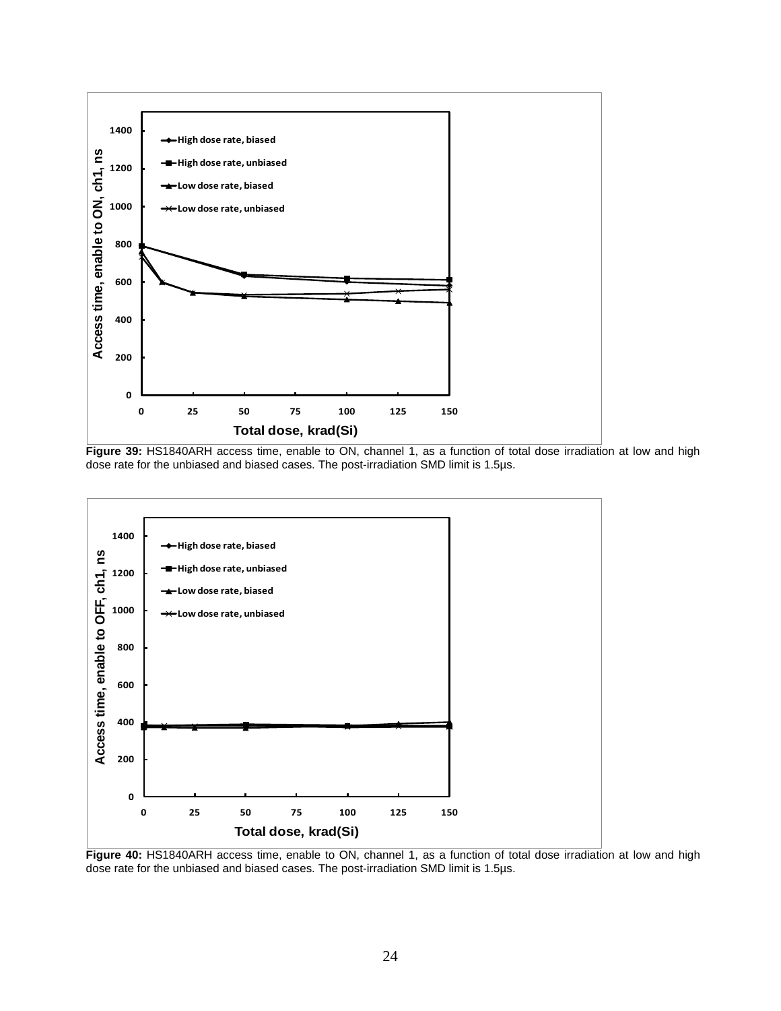

**Figure 39:** HS1840ARH access time, enable to ON, channel 1, as a function of total dose irradiation at low and high dose rate for the unbiased and biased cases. The post-irradiation SMD limit is 1.5µs.



**Figure 40:** HS1840ARH access time, enable to ON, channel 1, as a function of total dose irradiation at low and high dose rate for the unbiased and biased cases. The post-irradiation SMD limit is 1.5µs.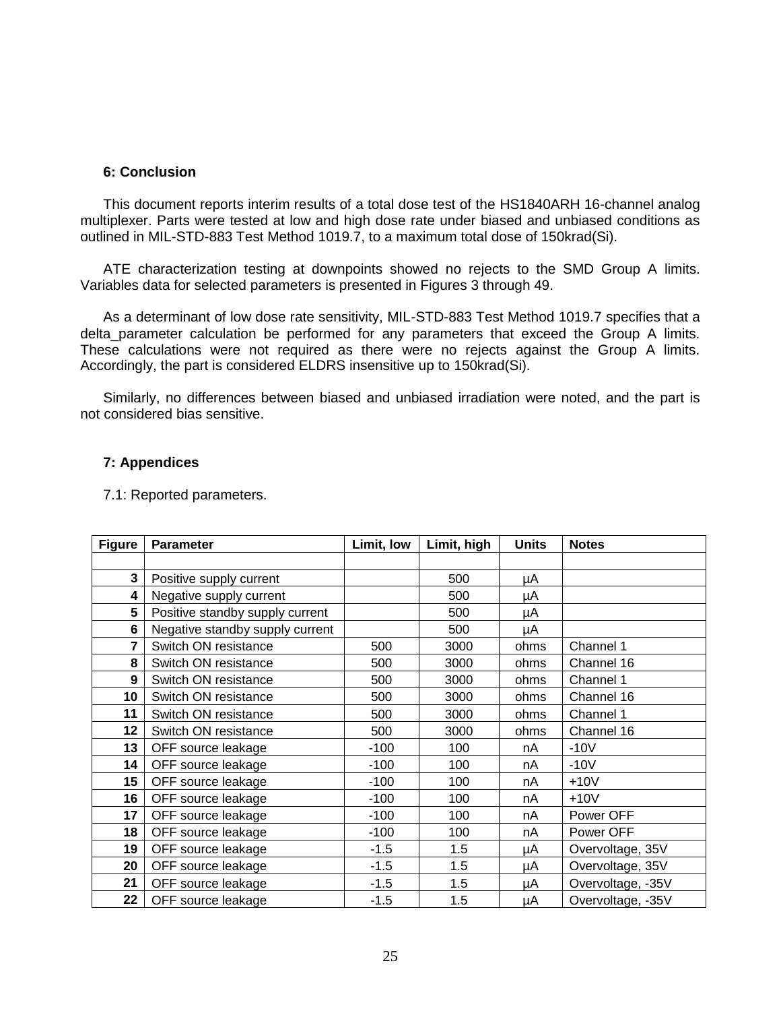#### **6: Conclusion**

This document reports interim results of a total dose test of the HS1840ARH 16-channel analog multiplexer. Parts were tested at low and high dose rate under biased and unbiased conditions as outlined in MIL-STD-883 Test Method 1019.7, to a maximum total dose of 150krad(Si).

ATE characterization testing at downpoints showed no rejects to the SMD Group A limits. Variables data for selected parameters is presented in Figures 3 through 49.

As a determinant of low dose rate sensitivity, MIL-STD-883 Test Method 1019.7 specifies that a delta\_parameter calculation be performed for any parameters that exceed the Group A limits. These calculations were not required as there were no rejects against the Group A limits. Accordingly, the part is considered ELDRS insensitive up to 150krad(Si).

Similarly, no differences between biased and unbiased irradiation were noted, and the part is not considered bias sensitive.

## **7: Appendices**

7.1: Reported parameters.

| <b>Figure</b> | <b>Parameter</b>                | Limit, low | Limit, high | <b>Units</b> | <b>Notes</b>      |
|---------------|---------------------------------|------------|-------------|--------------|-------------------|
|               |                                 |            |             |              |                   |
| 3             | Positive supply current         |            | 500         | μA           |                   |
| 4             | Negative supply current         |            | 500         | μA           |                   |
| 5             | Positive standby supply current |            | 500         | μA           |                   |
| 6             | Negative standby supply current |            | 500         | μA           |                   |
| 7             | Switch ON resistance            | 500        | 3000        | ohms         | Channel 1         |
| 8             | Switch ON resistance            | 500        | 3000        | ohms         | Channel 16        |
| 9             | Switch ON resistance            | 500        | 3000        | ohms         | Channel 1         |
| 10            | Switch ON resistance            | 500        | 3000        | ohms         | Channel 16        |
| 11            | Switch ON resistance            | 500        | 3000        | ohms         | Channel 1         |
| 12            | Switch ON resistance            | 500        | 3000        | ohms         | Channel 16        |
| 13            | OFF source leakage              | $-100$     | 100         | nA           | $-10V$            |
| 14            | OFF source leakage              | $-100$     | 100         | nA           | $-10V$            |
| 15            | OFF source leakage              | $-100$     | 100         | nA           | $+10V$            |
| 16            | OFF source leakage              | $-100$     | 100         | nA           | $+10V$            |
| 17            | OFF source leakage              | $-100$     | 100         | nA           | Power OFF         |
| 18            | OFF source leakage              | $-100$     | 100         | nA           | Power OFF         |
| 19            | OFF source leakage              | $-1.5$     | 1.5         | μA           | Overvoltage, 35V  |
| 20            | OFF source leakage              | $-1.5$     | 1.5         | μA           | Overvoltage, 35V  |
| 21            | OFF source leakage              | $-1.5$     | 1.5         | μA           | Overvoltage, -35V |
| 22            | OFF source leakage              | $-1.5$     | 1.5         | μA           | Overvoltage, -35V |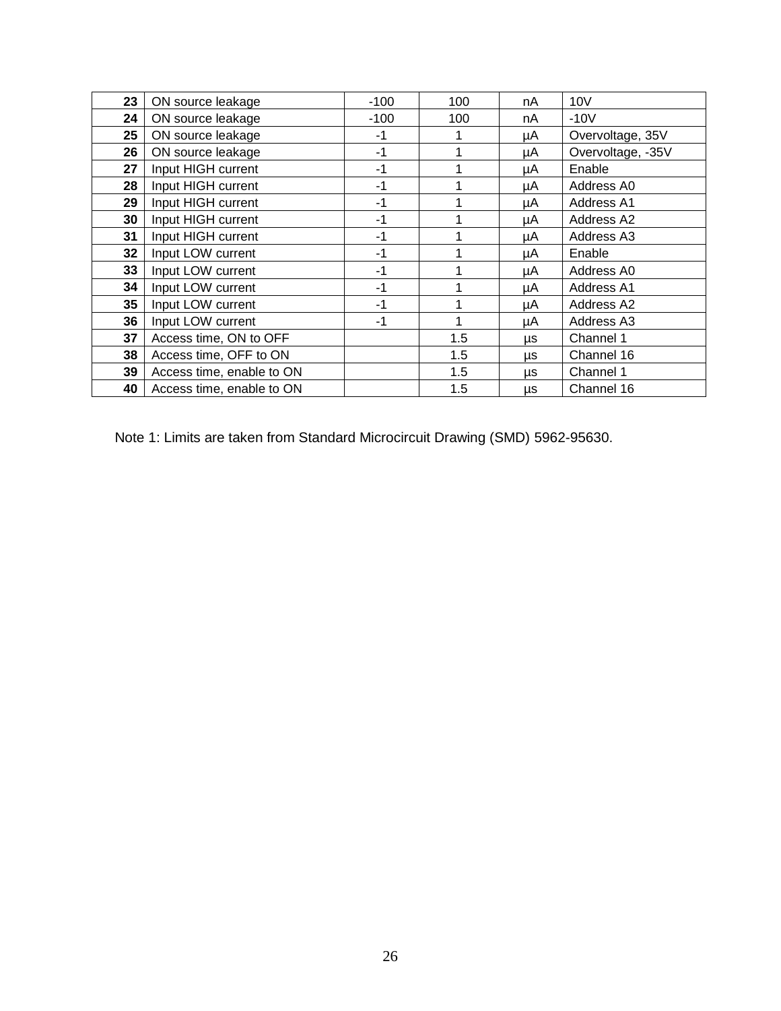| 23              | ON source leakage         | $-100$ | 100 | nA | 10V               |
|-----------------|---------------------------|--------|-----|----|-------------------|
| 24              | ON source leakage         | $-100$ | 100 | nA | $-10V$            |
| 25              | ON source leakage         | -1     | 4   | μA | Overvoltage, 35V  |
| 26              | ON source leakage         | $-1$   | 1   | μA | Overvoltage, -35V |
| 27              | Input HIGH current        | $-1$   | 1   | μA | Enable            |
| 28              | Input HIGH current        | $-1$   | 1   | μA | Address A0        |
| 29              | Input HIGH current        | $-1$   |     | μA | <b>Address A1</b> |
| 30              | Input HIGH current        | -1     |     | μA | Address A2        |
| 31              | Input HIGH current        | -1     |     | μA | Address A3        |
| 32              | Input LOW current         | -1     |     | μA | Enable            |
| 33              | Input LOW current         | -1     |     | μA | Address A0        |
| 34              | Input LOW current         | -1     |     | μA | Address A1        |
| 35 <sub>5</sub> | Input LOW current         | -1     | 1   | μA | Address A2        |
| 36              | Input LOW current         | $-1$   | 1   | μA | Address A3        |
| 37              | Access time, ON to OFF    |        | 1.5 | μs | Channel 1         |
| 38              | Access time, OFF to ON    |        | 1.5 | μs | Channel 16        |
| 39              | Access time, enable to ON |        | 1.5 | μs | Channel 1         |
| 40              | Access time, enable to ON |        | 1.5 | μs | Channel 16        |

Note 1: Limits are taken from Standard Microcircuit Drawing (SMD) 5962-95630.